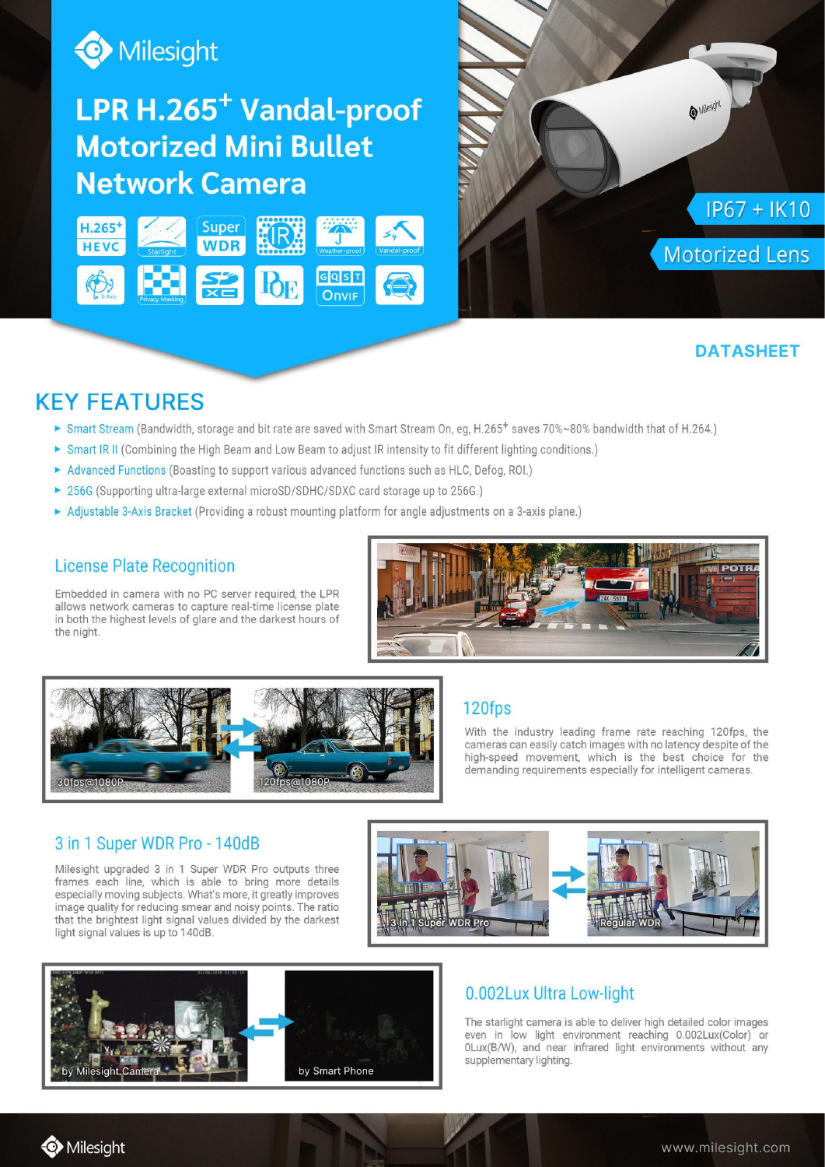

# LPR H.265<sup>+</sup> Vandal-proof **Motorized Mini Bullet Network Camera**





# **DATASHEET**

# **KEY FEATURES**

- ► Smart Stream (Bandwidth, storage and bit rate are saved with Smart Stream On, eq, H.265<sup>+</sup> saves 70%~80% bandwidth that of H.264.)
- Smart IR II (Combining the High Beam and Low Beam to adjust IR intensity to fit different lighting conditions.)
- Advanced Functions (Boasting to support various advanced functions such as HLC, Defog, ROI.)
- ▶ 256G (Supporting ultra-large external microSD/SDHC/SDXC card storage up to 256G.)
- Adjustable 3-Axis Bracket (Providing a robust mounting platform for angle adjustments on a 3-axis plane.)

### **License Plate Recognition**

Embedded in camera with no PC server required, the LPR allows network cameras to capture real-time license plate in both the highest levels of glare and the darkest hours of the night.





#### 120fps

With the industry leading frame rate reaching 120fps, the cameras can easily catch images with no latency despite of the high-speed movement, which is the best choice for the demanding requirements especially for intelligent cameras.

#### 3 in 1 Super WDR Pro - 140dB

Milesight upgraded 3 in 1 Super WDR Pro outputs three frames each line, which is able to bring more details especially moving subjects. What's more, it greatly improves image quality for reducing smear and noisy points. The ratio that the brightest light signal values divided by the darkest light signal values is up to 140dB.





# 0.002Lux Ultra Low-light

The starlight camera is able to deliver high detailed color images even in low light environment reaching 0.002Lux(Color) or 0Lux(B/W), and near infrared light environments without any supplementary lighting.

Milesight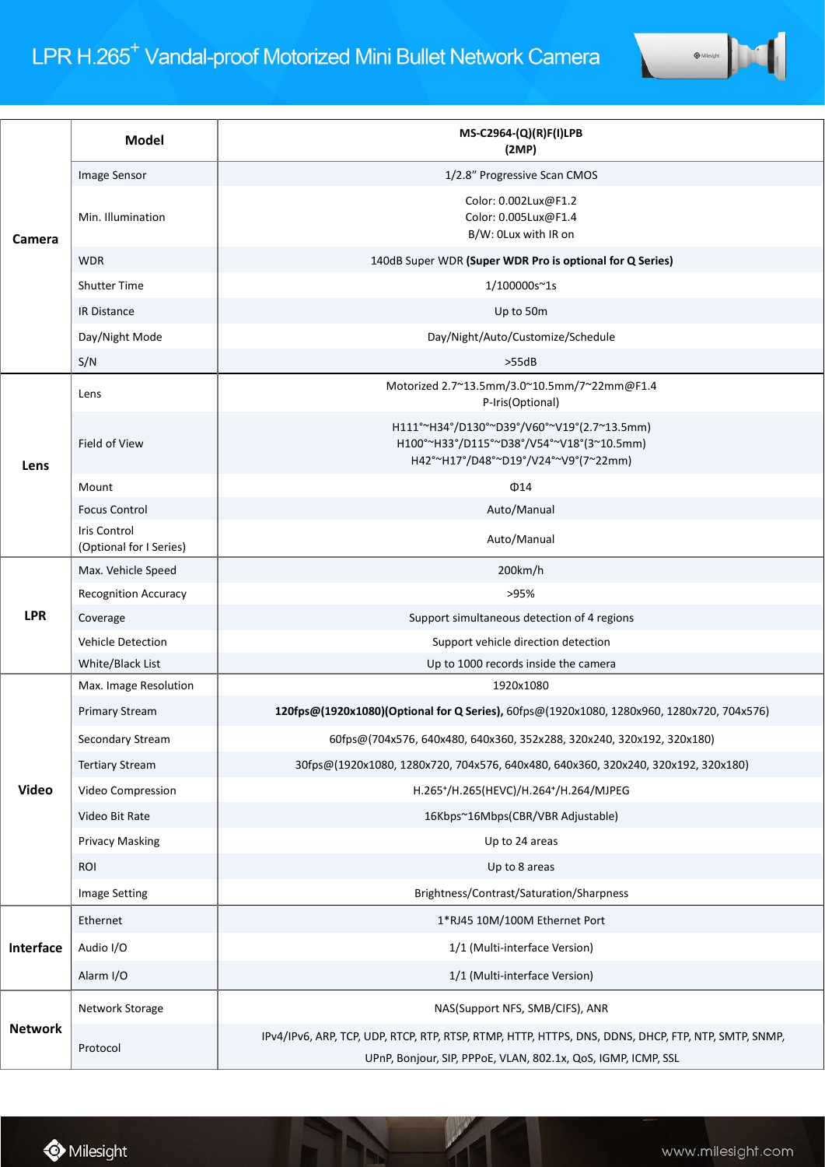| Camera         | <b>Model</b>                            | MS-C2964-(Q)(R)F(I)LPB<br>(2MP)                                                                                                                              |
|----------------|-----------------------------------------|--------------------------------------------------------------------------------------------------------------------------------------------------------------|
|                | Image Sensor                            | 1/2.8" Progressive Scan CMOS                                                                                                                                 |
|                | Min. Illumination                       | Color: 0.002Lux@F1.2<br>Color: 0.005Lux@F1.4<br>B/W: OLux with IR on                                                                                         |
|                | <b>WDR</b>                              | 140dB Super WDR (Super WDR Pro is optional for Q Series)                                                                                                     |
|                | <b>Shutter Time</b>                     | 1/100000s~1s                                                                                                                                                 |
|                | <b>IR Distance</b>                      | Up to 50m                                                                                                                                                    |
|                | Day/Night Mode                          | Day/Night/Auto/Customize/Schedule                                                                                                                            |
|                | S/N                                     | >55dB                                                                                                                                                        |
| Lens           | Lens                                    | Motorized 2.7~13.5mm/3.0~10.5mm/7~22mm@F1.4<br>P-Iris(Optional)                                                                                              |
|                | Field of View                           | H111°~H34°/D130°~D39°/V60°~V19°(2.7~13.5mm)<br>H100°~H33°/D115°~D38°/V54°~V18°(3~10.5mm)<br>H42°~H17°/D48°~D19°/V24°~V9°(7~22mm)                             |
|                | Mount                                   | $\Phi$ 14                                                                                                                                                    |
|                | <b>Focus Control</b>                    | Auto/Manual                                                                                                                                                  |
|                | Iris Control<br>(Optional for I Series) | Auto/Manual                                                                                                                                                  |
| <b>LPR</b>     | Max. Vehicle Speed                      | 200km/h                                                                                                                                                      |
|                | <b>Recognition Accuracy</b>             | >95%                                                                                                                                                         |
|                | Coverage                                | Support simultaneous detection of 4 regions                                                                                                                  |
|                | <b>Vehicle Detection</b>                | Support vehicle direction detection                                                                                                                          |
|                | White/Black List                        | Up to 1000 records inside the camera                                                                                                                         |
|                | Max. Image Resolution                   | 1920x1080                                                                                                                                                    |
|                | <b>Primary Stream</b>                   | 120fps@(1920x1080)(Optional for Q Series), 60fps@(1920x1080, 1280x960, 1280x720, 704x576)                                                                    |
|                | Secondary Stream                        | 60fps@(704x576, 640x480, 640x360, 352x288, 320x240, 320x192, 320x180)                                                                                        |
|                | <b>Tertiary Stream</b>                  | 30fps@(1920x1080, 1280x720, 704x576, 640x480, 640x360, 320x240, 320x192, 320x180)                                                                            |
| <b>Video</b>   | Video Compression                       | H.265+/H.265(HEVC)/H.264+/H.264/MJPEG                                                                                                                        |
|                | Video Bit Rate                          | 16Kbps~16Mbps(CBR/VBR Adjustable)                                                                                                                            |
|                | <b>Privacy Masking</b>                  | Up to 24 areas                                                                                                                                               |
|                | <b>ROI</b>                              | Up to 8 areas                                                                                                                                                |
|                | <b>Image Setting</b>                    | Brightness/Contrast/Saturation/Sharpness                                                                                                                     |
| Interface      | Ethernet                                | 1*RJ45 10M/100M Ethernet Port                                                                                                                                |
|                | Audio I/O                               | 1/1 (Multi-interface Version)                                                                                                                                |
|                | Alarm I/O                               | 1/1 (Multi-interface Version)                                                                                                                                |
| <b>Network</b> | Network Storage                         | NAS(Support NFS, SMB/CIFS), ANR                                                                                                                              |
|                | Protocol                                | IPv4/IPv6, ARP, TCP, UDP, RTCP, RTP, RTSP, RTMP, HTTP, HTTPS, DNS, DDNS, DHCP, FTP, NTP, SMTP, SNMP,<br>UPnP Boniour SIP PPPoE VLAN 802.1x OoS IGMP ICMP SSL |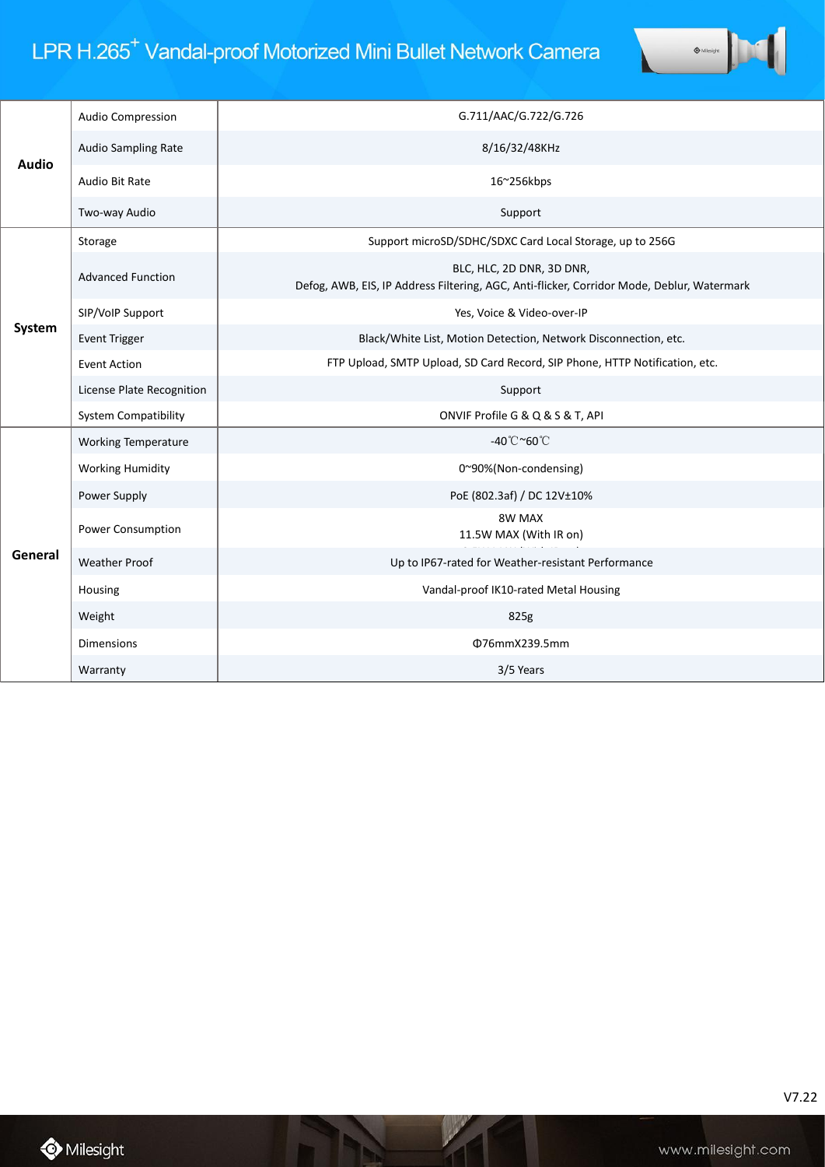# LPR H.265<sup>+</sup> Vandal-proof Motorized Mini Bullet Network Camera



| <b>Audio</b> | <b>Audio Compression</b>    | G.711/AAC/G.722/G.726                                                                                                   |
|--------------|-----------------------------|-------------------------------------------------------------------------------------------------------------------------|
|              | Audio Sampling Rate         | 8/16/32/48KHz                                                                                                           |
|              | Audio Bit Rate              | 16~256kbps                                                                                                              |
|              | Two-way Audio               | Support                                                                                                                 |
| System       | Storage                     | Support microSD/SDHC/SDXC Card Local Storage, up to 256G                                                                |
|              | <b>Advanced Function</b>    | BLC, HLC, 2D DNR, 3D DNR,<br>Defog, AWB, EIS, IP Address Filtering, AGC, Anti-flicker, Corridor Mode, Deblur, Watermark |
|              | SIP/VoIP Support            | Yes, Voice & Video-over-IP                                                                                              |
|              | <b>Event Trigger</b>        | Black/White List, Motion Detection, Network Disconnection, etc.                                                         |
|              | <b>Event Action</b>         | FTP Upload, SMTP Upload, SD Card Record, SIP Phone, HTTP Notification, etc.                                             |
|              | License Plate Recognition   | Support                                                                                                                 |
|              | <b>System Compatibility</b> | ONVIF Profile G & Q & S & T, API                                                                                        |
| General      | <b>Working Temperature</b>  | -40°C~60°C                                                                                                              |
|              | <b>Working Humidity</b>     | 0~90%(Non-condensing)                                                                                                   |
|              | Power Supply                | PoE (802.3af) / DC 12V±10%                                                                                              |
|              | Power Consumption           | 8W MAX<br>11.5W MAX (With IR on)                                                                                        |
|              | <b>Weather Proof</b>        | Up to IP67-rated for Weather-resistant Performance                                                                      |
|              | Housing                     | Vandal-proof IK10-rated Metal Housing                                                                                   |
|              | Weight                      | 825g                                                                                                                    |
|              | <b>Dimensions</b>           | Φ76mmX239.5mm                                                                                                           |
|              | Warranty                    | 3/5 Years                                                                                                               |